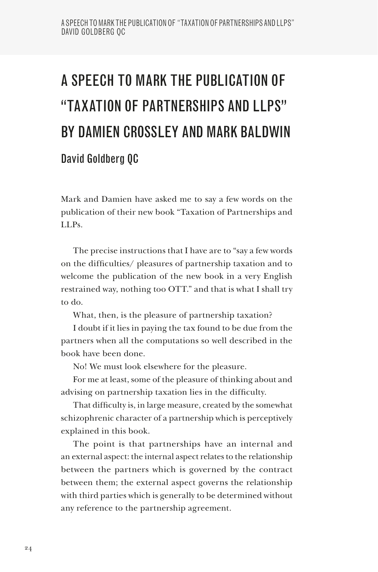## A SPEECH TO MARK THE PUBLICATION OF "TAXATION OF PARTNERSHIPS AND LIPS" BY DAMIEN CROSSLEY AND MARK BALDWIN David Goldberg QC

Mark and Damien have asked me to say a few words on the publication of their new book "Taxation of Partnerships and LLPs.

The precise instructions that I have are to "say a few words on the difficulties/ pleasures of partnership taxation and to welcome the publication of the new book in a very English restrained way, nothing too OTT." and that is what I shall try to do.

What, then, is the pleasure of partnership taxation?

I doubt if it lies in paying the tax found to be due from the partners when all the computations so well described in the book have been done.

No! We must look elsewhere for the pleasure.

For me at least, some of the pleasure of thinking about and advising on partnership taxation lies in the difficulty.

That difficulty is, in large measure, created by the somewhat schizophrenic character of a partnership which is perceptively explained in this book.

The point is that partnerships have an internal and an external aspect: the internal aspect relates to the relationship between the partners which is governed by the contract between them; the external aspect governs the relationship with third parties which is generally to be determined without any reference to the partnership agreement.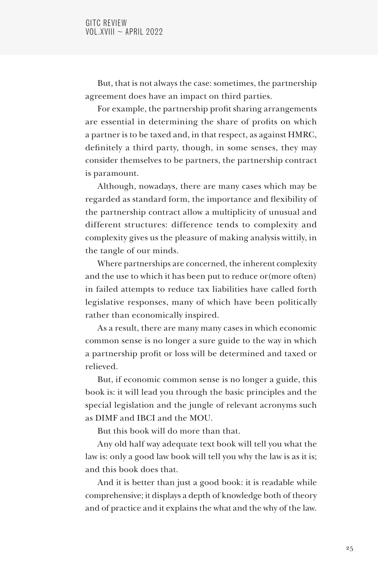But, that is not always the case: sometimes, the partnership agreement does have an impact on third parties.

For example, the partnership profit sharing arrangements are essential in determining the share of profits on which a partner is to be taxed and, in that respect, as against HMRC, definitely a third party, though, in some senses, they may consider themselves to be partners, the partnership contract is paramount.

Although, nowadays, there are many cases which may be regarded as standard form, the importance and flexibility of the partnership contract allow a multiplicity of unusual and different structures: difference tends to complexity and complexity gives us the pleasure of making analysis wittily, in the tangle of our minds.

Where partnerships are concerned, the inherent complexity and the use to which it has been put to reduce or(more often) in failed attempts to reduce tax liabilities have called forth legislative responses, many of which have been politically rather than economically inspired.

As a result, there are many many cases in which economic common sense is no longer a sure guide to the way in which a partnership profit or loss will be determined and taxed or relieved.

But, if economic common sense is no longer a guide, this book is: it will lead you through the basic principles and the special legislation and the jungle of relevant acronyms such as DIMF and IBCI and the MOU.

But this book will do more than that.

Any old half way adequate text book will tell you what the law is: only a good law book will tell you why the law is as it is; and this book does that.

And it is better than just a good book: it is readable while comprehensive; it displays a depth of knowledge both of theory and of practice and it explains the what and the why of the law.